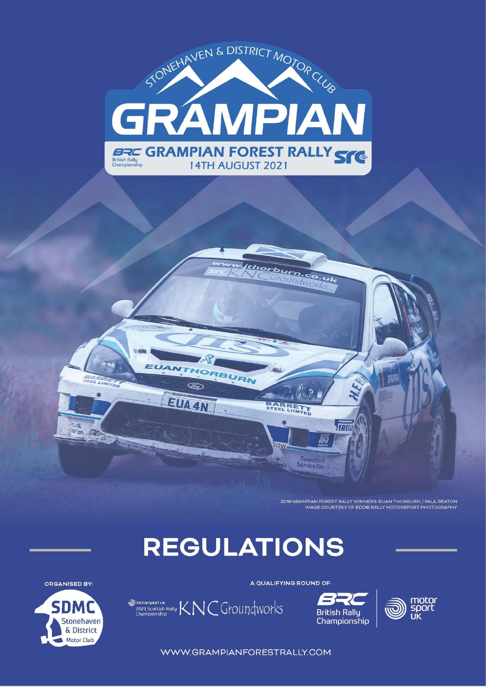

2019 GRAMPIAN FOREST RALLY WINNERS: EUAN THORBURN / PAUL BEATON IMAGE COURTESY OF EDDIE KELLY MOTORSPORT PHOTOGRAPHY

 $\sqrt{n}$ 

M5

Tweedmout

# **REGULATIONS**

BURN

EUA

(Find)

EUA 4N



**Tuttle Mation** 

A QUALIFYING ROUND OF:

thorburn.co.uk Groundwor

BARRETT

**C** 

row





WWW.GRAMPIANFORESTRALLY.COM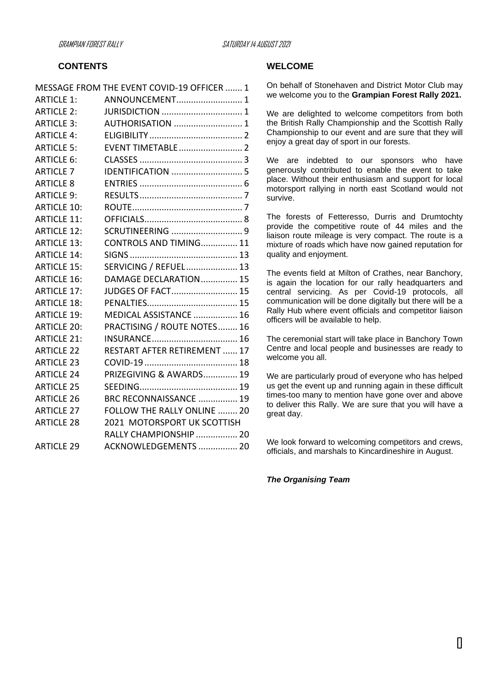## **CONTENTS**

|                    | MESSAGE FROM THE EVENT COVID-19 OFFICER  1 |  |
|--------------------|--------------------------------------------|--|
| <b>ARTICLE 1:</b>  | ANNOUNCEMENT 1                             |  |
| <b>ARTICLE 2:</b>  |                                            |  |
| <b>ARTICLE 3:</b>  | AUTHORISATION  1                           |  |
| <b>ARTICLE 4:</b>  |                                            |  |
| <b>ARTICLE 5:</b>  | <b>EVENT TIMETABLE 2</b>                   |  |
| <b>ARTICLE 6:</b>  |                                            |  |
| <b>ARTICLE 7</b>   |                                            |  |
| <b>ARTICLE 8</b>   |                                            |  |
| <b>ARTICLE 9:</b>  |                                            |  |
| <b>ARTICLE 10:</b> |                                            |  |
| <b>ARTICLE 11:</b> |                                            |  |
| <b>ARTICLE 12:</b> |                                            |  |
| <b>ARTICLE 13:</b> | CONTROLS AND TIMING 11                     |  |
| <b>ARTICLE 14:</b> |                                            |  |
| <b>ARTICLE 15:</b> | SERVICING / REFUEL 13                      |  |
| <b>ARTICLE 16:</b> | DAMAGE DECLARATION 15                      |  |
| <b>ARTICLE 17:</b> | JUDGES OF FACT 15                          |  |
| <b>ARTICLE 18:</b> |                                            |  |
| <b>ARTICLE 19:</b> | MEDICAL ASSISTANCE  16                     |  |
| <b>ARTICLE 20:</b> | PRACTISING / ROUTE NOTES 16                |  |
| <b>ARTICLE 21:</b> |                                            |  |
| <b>ARTICLE 22</b>  | RESTART AFTER RETIREMENT  17               |  |
| <b>ARTICLE 23</b>  |                                            |  |
| <b>ARTICLE 24</b>  | PRIZEGIVING & AWARDS 19                    |  |
| <b>ARTICLE 25</b>  |                                            |  |
| <b>ARTICLE 26</b>  | BRC RECONNAISSANCE  19                     |  |
| <b>ARTICLE 27</b>  | <b>FOLLOW THE RALLY ONLINE  20</b>         |  |
| <b>ARTICLE 28</b>  | 2021 MOTORSPORT UK SCOTTISH                |  |
|                    | RALLY CHAMPIONSHIP  20                     |  |
| <b>ARTICLE 29</b>  | ACKNOWLEDGEMENTS  20                       |  |
|                    |                                            |  |

#### **WELCOME**

On behalf of Stonehaven and District Motor Club may we welcome you to the **Grampian Forest Rally 2021.** 

We are delighted to welcome competitors from both the British Rally Championship and the Scottish Rally Championship to our event and are sure that they will enjoy a great day of sport in our forests.

We are indebted to our sponsors who have generously contributed to enable the event to take place. Without their enthusiasm and support for local motorsport rallying in north east Scotland would not survive.

The forests of Fetteresso, Durris and Drumtochty provide the competitive route of 44 miles and the liaison route mileage is very compact. The route is a mixture of roads which have now gained reputation for quality and enjoyment.

The events field at Milton of Crathes, near Banchory, is again the location for our rally headquarters and central servicing. As per Covid-19 protocols, all communication will be done digitally but there will be a Rally Hub where event officials and competitor liaison officers will be available to help.

The ceremonial start will take place in Banchory Town Centre and local people and businesses are ready to welcome you all.

We are particularly proud of everyone who has helped us get the event up and running again in these difficult times-too many to mention have gone over and above to deliver this Rally. We are sure that you will have a great day.

We look forward to welcoming competitors and crews, officials, and marshals to Kincardineshire in August.

*The Organising Team*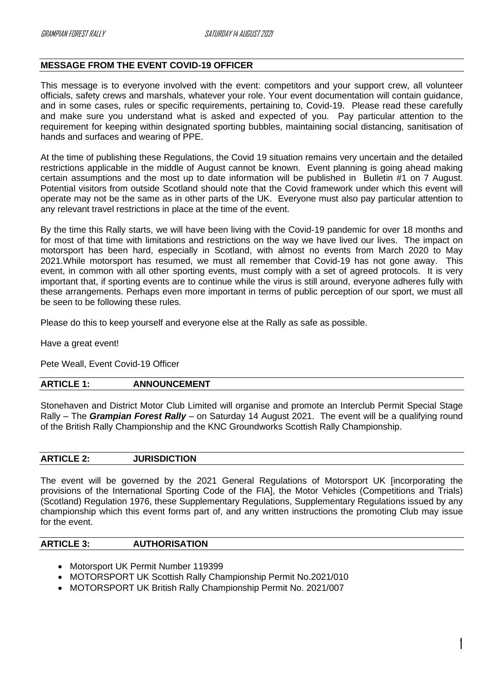# <span id="page-2-0"></span>**MESSAGE FROM THE EVENT COVID-19 OFFICER**

This message is to everyone involved with the event: competitors and your support crew, all volunteer officials, safety crews and marshals, whatever your role. Your event documentation will contain guidance, and in some cases, rules or specific requirements, pertaining to, Covid-19. Please read these carefully and make sure you understand what is asked and expected of you. Pay particular attention to the requirement for keeping within designated sporting bubbles, maintaining social distancing, sanitisation of hands and surfaces and wearing of PPE.

At the time of publishing these Regulations, the Covid 19 situation remains very uncertain and the detailed restrictions applicable in the middle of August cannot be known. Event planning is going ahead making certain assumptions and the most up to date information will be published in Bulletin #1 on 7 August. Potential visitors from outside Scotland should note that the Covid framework under which this event will operate may not be the same as in other parts of the UK. Everyone must also pay particular attention to any relevant travel restrictions in place at the time of the event.

By the time this Rally starts, we will have been living with the Covid-19 pandemic for over 18 months and for most of that time with limitations and restrictions on the way we have lived our lives. The impact on motorsport has been hard, especially in Scotland, with almost no events from March 2020 to May 2021.While motorsport has resumed, we must all remember that Covid-19 has not gone away. This event, in common with all other sporting events, must comply with a set of agreed protocols. It is very important that, if sporting events are to continue while the virus is still around, everyone adheres fully with these arrangements. Perhaps even more important in terms of public perception of our sport, we must all be seen to be following these rules.

Please do this to keep yourself and everyone else at the Rally as safe as possible.

Have a great event!

Pete Weall, Event Covid-19 Officer

#### <span id="page-2-1"></span>**ARTICLE 1: ANNOUNCEMENT**

Stonehaven and District Motor Club Limited will organise and promote an Interclub Permit Special Stage Rally – The *Grampian Forest Rally* – on Saturday 14 August 2021. The event will be a qualifying round of the British Rally Championship and the KNC Groundworks Scottish Rally Championship.

#### <span id="page-2-2"></span>**ARTICLE 2: JURISDICTION**

The event will be governed by the 2021 General Regulations of Motorsport UK [incorporating the provisions of the International Sporting Code of the FIA], the Motor Vehicles (Competitions and Trials) (Scotland) Regulation 1976, these Supplementary Regulations, Supplementary Regulations issued by any championship which this event forms part of, and any written instructions the promoting Club may issue for the event.

## <span id="page-2-3"></span>**ARTICLE 3: AUTHORISATION**

- Motorsport UK Permit Number 119399
- MOTORSPORT UK Scottish Rally Championship Permit No.2021/010
- MOTORSPORT UK British Rally Championship Permit No. 2021/007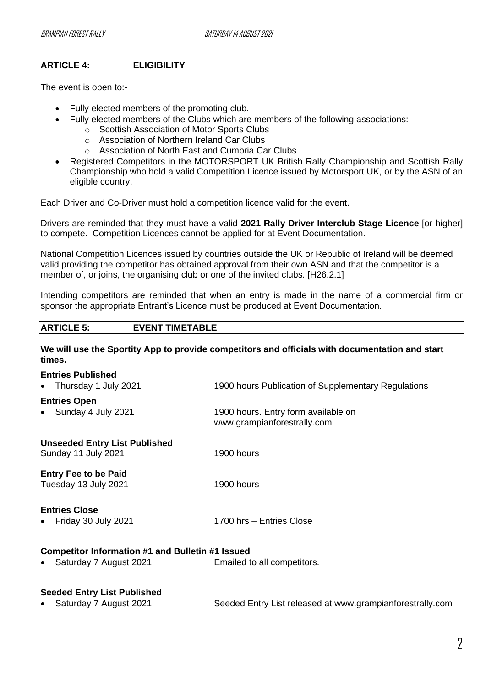# <span id="page-3-0"></span>**ARTICLE 4: ELIGIBILITY**

The event is open to:-

- Fully elected members of the promoting club.
- Fully elected members of the Clubs which are members of the following associations:
	- o Scottish Association of Motor Sports Clubs
	- o Association of Northern Ireland Car Clubs
	- o Association of North East and Cumbria Car Clubs
- Registered Competitors in the MOTORSPORT UK British Rally Championship and Scottish Rally Championship who hold a valid Competition Licence issued by Motorsport UK, or by the ASN of an eligible country.

Each Driver and Co-Driver must hold a competition licence valid for the event.

Drivers are reminded that they must have a valid **2021 Rally Driver Interclub Stage Licence** [or higher] to compete. Competition Licences cannot be applied for at Event Documentation.

National Competition Licences issued by countries outside the UK or Republic of Ireland will be deemed valid providing the competitor has obtained approval from their own ASN and that the competitor is a member of, or joins, the organising club or one of the invited clubs. [H26.2.1]

Intending competitors are reminded that when an entry is made in the name of a commercial firm or sponsor the appropriate Entrant's Licence must be produced at Event Documentation.

# <span id="page-3-1"></span>**ARTICLE 5: EVENT TIMETABLE**

**We will use the Sportity App to provide competitors and officials with documentation and start times.**

| <b>Entries Published</b><br>Thursday 1 July 2021<br>$\bullet$ | 1900 hours Publication of Supplementary Regulations                |  |  |  |
|---------------------------------------------------------------|--------------------------------------------------------------------|--|--|--|
| <b>Entries Open</b>                                           |                                                                    |  |  |  |
| Sunday 4 July 2021<br>$\bullet$                               | 1900 hours. Entry form available on<br>www.grampianforestrally.com |  |  |  |
| <b>Unseeded Entry List Published</b>                          |                                                                    |  |  |  |
| Sunday 11 July 2021                                           | 1900 hours                                                         |  |  |  |
| <b>Entry Fee to be Paid</b><br>Tuesday 13 July 2021           | 1900 hours                                                         |  |  |  |
| <b>Entries Close</b><br>Friday 30 July 2021<br>$\bullet$      | 1700 hrs - Entries Close                                           |  |  |  |
| Competitor Information #1 and Bulletin #1 Issued              |                                                                    |  |  |  |
| Saturday 7 August 2021                                        | Emailed to all competitors.                                        |  |  |  |
|                                                               |                                                                    |  |  |  |
|                                                               |                                                                    |  |  |  |

# **Seeded Entry List Published**

• Saturday 7 August 2021 Seeded Entry List released at www.grampianforestrally.com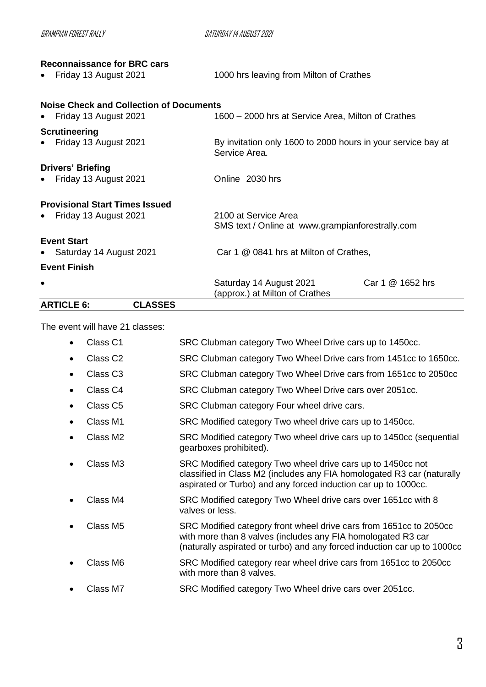| GRAMPIAN FOREST RAI I Y                        | SATURDAY 14 AUGUST 2021                                                       |                  |
|------------------------------------------------|-------------------------------------------------------------------------------|------------------|
| <b>Reconnaissance for BRC cars</b>             |                                                                               |                  |
| Friday 13 August 2021                          | 1000 hrs leaving from Milton of Crathes                                       |                  |
| <b>Noise Check and Collection of Documents</b> |                                                                               |                  |
| Friday 13 August 2021                          | 1600 – 2000 hrs at Service Area, Milton of Crathes                            |                  |
| <b>Scrutineering</b>                           |                                                                               |                  |
| Friday 13 August 2021                          | By invitation only 1600 to 2000 hours in your service bay at<br>Service Area. |                  |
| <b>Drivers' Briefing</b>                       |                                                                               |                  |
| Friday 13 August 2021                          | Online 2030 hrs                                                               |                  |
| <b>Provisional Start Times Issued</b>          |                                                                               |                  |
| Friday 13 August 2021                          | 2100 at Service Area                                                          |                  |
|                                                | SMS text / Online at www.grampianforestrally.com                              |                  |
| <b>Event Start</b>                             |                                                                               |                  |
| Saturday 14 August 2021                        | Car 1 @ 0841 hrs at Milton of Crathes,                                        |                  |
| <b>Event Finish</b>                            |                                                                               |                  |
|                                                | Saturday 14 August 2021                                                       | Car 1 @ 1652 hrs |
|                                                | (approx.) at Milton of Crathes                                                |                  |
| <b>ARTICLE 6:</b><br><b>CLASSES</b>            |                                                                               |                  |

<span id="page-4-0"></span>The event will have 21 classes:

| Class <sub>C1</sub>  | SRC Clubman category Two Wheel Drive cars up to 1450cc.                                                                                                                                                        |
|----------------------|----------------------------------------------------------------------------------------------------------------------------------------------------------------------------------------------------------------|
| Class C <sub>2</sub> | SRC Clubman category Two Wheel Drive cars from 1451cc to 1650cc.                                                                                                                                               |
| Class <sub>C3</sub>  | SRC Clubman category Two Wheel Drive cars from 1651cc to 2050cc                                                                                                                                                |
| Class <sub>C4</sub>  | SRC Clubman category Two Wheel Drive cars over 2051cc.                                                                                                                                                         |
| Class <sub>C5</sub>  | SRC Clubman category Four wheel drive cars.                                                                                                                                                                    |
| Class M1             | SRC Modified category Two wheel drive cars up to 1450cc.                                                                                                                                                       |
| Class M2             | SRC Modified category Two wheel drive cars up to 1450cc (sequential<br>gearboxes prohibited).                                                                                                                  |
| Class M3             | SRC Modified category Two wheel drive cars up to 1450cc not<br>classified in Class M2 (includes any FIA homologated R3 car (naturally<br>aspirated or Turbo) and any forced induction car up to 1000cc.        |
| Class M4             | SRC Modified category Two Wheel drive cars over 1651cc with 8<br>valves or less.                                                                                                                               |
| Class M5             | SRC Modified category front wheel drive cars from 1651cc to 2050cc<br>with more than 8 valves (includes any FIA homologated R3 car<br>(naturally aspirated or turbo) and any forced induction car up to 1000cc |
| Class M6             | SRC Modified category rear wheel drive cars from 1651cc to 2050cc<br>with more than 8 valves.                                                                                                                  |
| Class M7             | SRC Modified category Two Wheel drive cars over 2051cc.                                                                                                                                                        |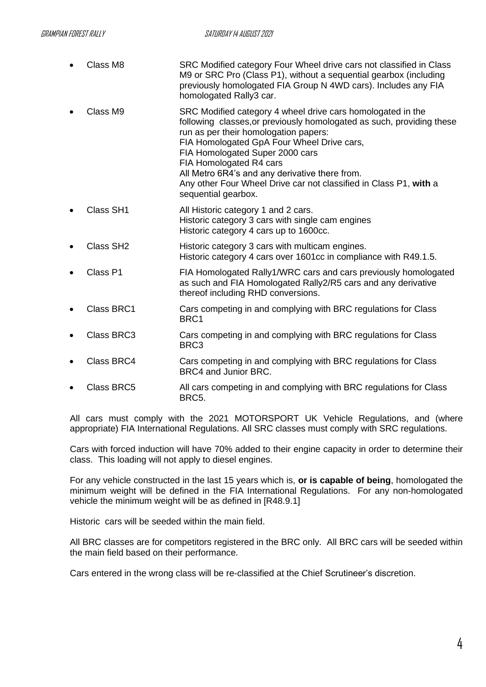- Class M8 SRC Modified category Four Wheel drive cars not classified in Class M9 or SRC Pro (Class P1), without a sequential gearbox (including previously homologated FIA Group N 4WD cars). Includes any FIA homologated Rally3 car.
- Class M9 SRC Modified category 4 wheel drive cars homologated in the following classes,or previously homologated as such, providing these run as per their homologation papers: FIA Homologated GpA Four Wheel Drive cars, FIA Homologated Super 2000 cars FIA Homologated R4 cars All Metro 6R4's and any derivative there from. Any other Four Wheel Drive car not classified in Class P1, **with** a sequential gearbox.
- Class SH1 All Historic category 1 and 2 cars. Historic category 3 cars with single cam engines Historic category 4 cars up to 1600cc.
- Class SH2 Historic category 3 cars with multicam engines. Historic category 4 cars over 1601cc in compliance with R49.1.5.
- Class P1 FIA Homologated Rally1/WRC cars and cars previously homologated as such and FIA Homologated Rally2/R5 cars and any derivative thereof including RHD conversions.
- Class BRC1 Cars competing in and complying with BRC regulations for Class BRC1
- Class BRC3 Cars competing in and complying with BRC regulations for Class BRC3
- Class BRC4 Cars competing in and complying with BRC regulations for Class BRC4 and Junior BRC.
- Class BRC5 All cars competing in and complying with BRC regulations for Class BRC5.

All cars must comply with the 2021 MOTORSPORT UK Vehicle Regulations, and (where appropriate) FIA International Regulations. All SRC classes must comply with SRC regulations.

Cars with forced induction will have 70% added to their engine capacity in order to determine their class. This loading will not apply to diesel engines.

For any vehicle constructed in the last 15 years which is, **or is capable of being**, homologated the minimum weight will be defined in the FIA International Regulations. For any non-homologated vehicle the minimum weight will be as defined in [R48.9.1]

Historic cars will be seeded within the main field.

All BRC classes are for competitors registered in the BRC only. All BRC cars will be seeded within the main field based on their performance.

Cars entered in the wrong class will be re-classified at the Chief Scrutineer's discretion.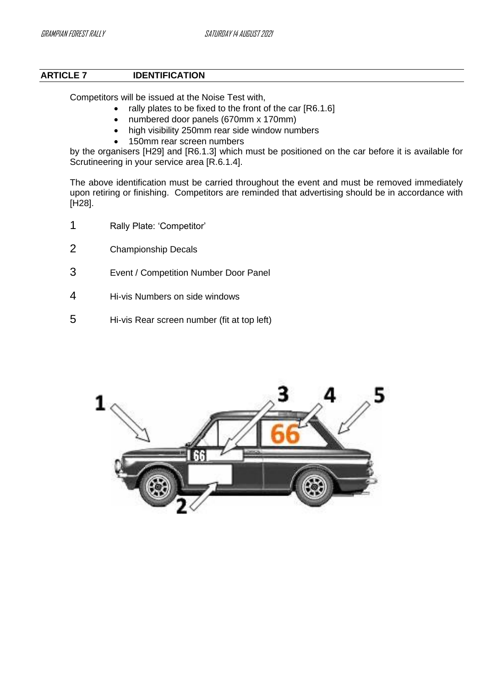# <span id="page-6-0"></span>**ARTICLE 7 IDENTIFICATION**

Competitors will be issued at the Noise Test with,

- rally plates to be fixed to the front of the car [R6.1.6]
- numbered door panels (670mm x 170mm)
- high visibility 250mm rear side window numbers
- 150mm rear screen numbers

by the organisers [H29] and [R6.1.3] which must be positioned on the car before it is available for Scrutineering in your service area [R.6.1.4].

The above identification must be carried throughout the event and must be removed immediately upon retiring or finishing. Competitors are reminded that advertising should be in accordance with [H28].

- 1 Rally Plate: 'Competitor'
- 2 Championship Decals
- 3 Event / Competition Number Door Panel
- 4 Hi-vis Numbers on side windows
- 5 Hi-vis Rear screen number (fit at top left)

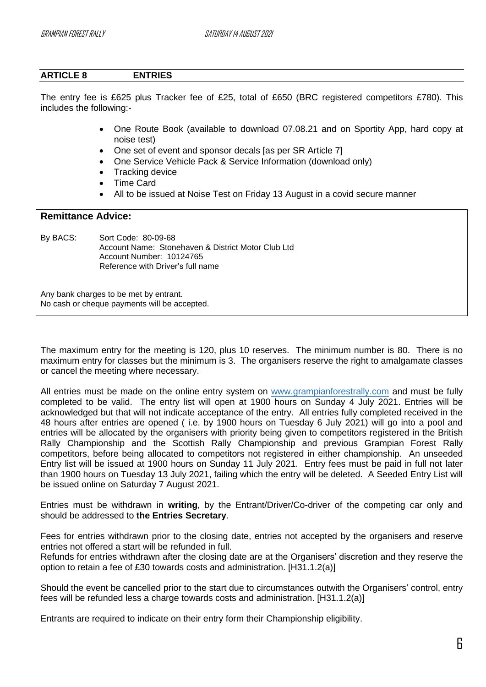# <span id="page-7-0"></span>**ARTICLE 8 ENTRIES**

The entry fee is £625 plus Tracker fee of £25, total of £650 (BRC registered competitors £780). This includes the following:-

- One Route Book (available to download 07.08.21 and on Sportity App, hard copy at noise test)
- One set of event and sponsor decals [as per SR Article 7]
- One Service Vehicle Pack & Service Information (download only)
- Tracking device
- Time Card
- All to be issued at Noise Test on Friday 13 August in a covid secure manner

# **Remittance Advice:**

By BACS: Sort Code: 80-09-68 Account Name: Stonehaven & District Motor Club Ltd Account Number: 10124765 Reference with Driver's full name

Any bank charges to be met by entrant. No cash or cheque payments will be accepted.

The maximum entry for the meeting is 120, plus 10 reserves. The minimum number is 80. There is no maximum entry for classes but the minimum is 3. The organisers reserve the right to amalgamate classes or cancel the meeting where necessary.

All entries must be made on the online entry system on [www.grampianforestr](http://www.grampianforest/)ally.com and must be fully completed to be valid. The entry list will open at 1900 hours on Sunday 4 July 2021. Entries will be acknowledged but that will not indicate acceptance of the entry. All entries fully completed received in the 48 hours after entries are opened ( i.e. by 1900 hours on Tuesday 6 July 2021) will go into a pool and entries will be allocated by the organisers with priority being given to competitors registered in the British Rally Championship and the Scottish Rally Championship and previous Grampian Forest Rally competitors, before being allocated to competitors not registered in either championship. An unseeded Entry list will be issued at 1900 hours on Sunday 11 July 2021. Entry fees must be paid in full not later than 1900 hours on Tuesday 13 July 2021, failing which the entry will be deleted. A Seeded Entry List will be issued online on Saturday 7 August 2021.

Entries must be withdrawn in **writing**, by the Entrant/Driver/Co-driver of the competing car only and should be addressed to **the Entries Secretary**.

Fees for entries withdrawn prior to the closing date, entries not accepted by the organisers and reserve entries not offered a start will be refunded in full.

Refunds for entries withdrawn after the closing date are at the Organisers' discretion and they reserve the option to retain a fee of £30 towards costs and administration. [H31.1.2(a)]

Should the event be cancelled prior to the start due to circumstances outwith the Organisers' control, entry fees will be refunded less a charge towards costs and administration. [H31.1.2(a)]

Entrants are required to indicate on their entry form their Championship eligibility.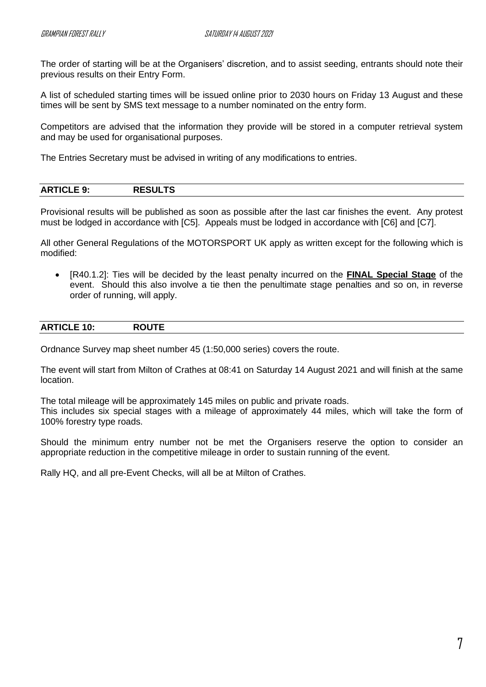The order of starting will be at the Organisers' discretion, and to assist seeding, entrants should note their previous results on their Entry Form.

A list of scheduled starting times will be issued online prior to 2030 hours on Friday 13 August and these times will be sent by SMS text message to a number nominated on the entry form.

Competitors are advised that the information they provide will be stored in a computer retrieval system and may be used for organisational purposes.

The Entries Secretary must be advised in writing of any modifications to entries.

<span id="page-8-0"></span>

| _____ |
|-------|
|-------|

Provisional results will be published as soon as possible after the last car finishes the event. Any protest must be lodged in accordance with [C5]. Appeals must be lodged in accordance with [C6] and [C7].

All other General Regulations of the MOTORSPORT UK apply as written except for the following which is modified:

• [R40.1.2]: Ties will be decided by the least penalty incurred on the **FINAL Special Stage** of the event. Should this also involve a tie then the penultimate stage penalties and so on, in reverse order of running, will apply.

<span id="page-8-1"></span>

| <b>ARTICLE</b><br>$\sim$ $\blacksquare$<br>$-10.$<br>IV.<br>- -<br>_____ |
|--------------------------------------------------------------------------|
|--------------------------------------------------------------------------|

Ordnance Survey map sheet number 45 (1:50,000 series) covers the route.

The event will start from Milton of Crathes at 08:41 on Saturday 14 August 2021 and will finish at the same location.

The total mileage will be approximately 145 miles on public and private roads.

This includes six special stages with a mileage of approximately 44 miles, which will take the form of 100% forestry type roads.

Should the minimum entry number not be met the Organisers reserve the option to consider an appropriate reduction in the competitive mileage in order to sustain running of the event.

Rally HQ, and all pre-Event Checks, will all be at Milton of Crathes.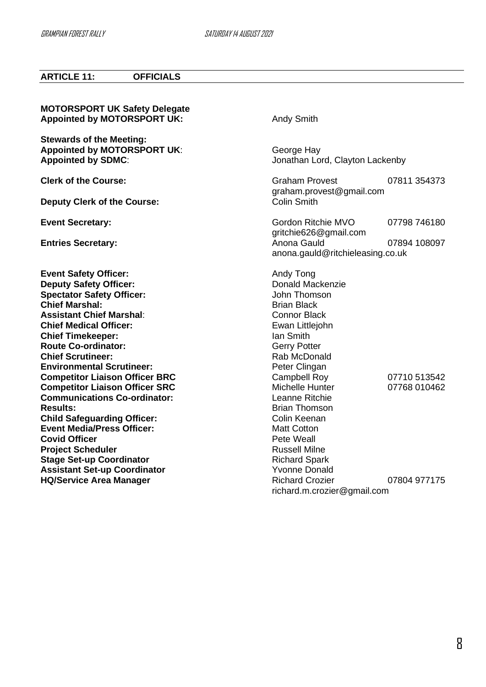# <span id="page-9-0"></span>**ARTICLE 11: OFFICIALS**

| <b>MOTORSPORT UK Safety Delegate</b><br><b>Appointed by MOTORSPORT UK:</b>                                                                                                                                                                                                                                                                                                                                                                        | <b>Andy Smith</b>                                                                                                                                                                                                                              |                              |
|---------------------------------------------------------------------------------------------------------------------------------------------------------------------------------------------------------------------------------------------------------------------------------------------------------------------------------------------------------------------------------------------------------------------------------------------------|------------------------------------------------------------------------------------------------------------------------------------------------------------------------------------------------------------------------------------------------|------------------------------|
| <b>Stewards of the Meeting:</b><br><b>Appointed by MOTORSPORT UK:</b><br><b>Appointed by SDMC:</b>                                                                                                                                                                                                                                                                                                                                                | George Hay<br>Jonathan Lord, Clayton Lackenby                                                                                                                                                                                                  |                              |
| <b>Clerk of the Course:</b>                                                                                                                                                                                                                                                                                                                                                                                                                       | <b>Graham Provest</b>                                                                                                                                                                                                                          | 07811 354373                 |
| <b>Deputy Clerk of the Course:</b>                                                                                                                                                                                                                                                                                                                                                                                                                | graham.provest@gmail.com<br><b>Colin Smith</b>                                                                                                                                                                                                 |                              |
| <b>Event Secretary:</b>                                                                                                                                                                                                                                                                                                                                                                                                                           | Gordon Ritchie MVO                                                                                                                                                                                                                             | 07798 746180                 |
| <b>Entries Secretary:</b>                                                                                                                                                                                                                                                                                                                                                                                                                         | gritchie626@gmail.com<br>Anona Gauld<br>anona.gauld@ritchieleasing.co.uk                                                                                                                                                                       | 07894 108097                 |
| <b>Event Safety Officer:</b><br><b>Deputy Safety Officer:</b><br><b>Spectator Safety Officer:</b><br><b>Chief Marshal:</b><br><b>Assistant Chief Marshal:</b><br><b>Chief Medical Officer:</b><br><b>Chief Timekeeper:</b><br><b>Route Co-ordinator:</b><br><b>Chief Scrutineer:</b><br><b>Environmental Scrutineer:</b><br><b>Competitor Liaison Officer BRC</b><br><b>Competitor Liaison Officer SRC</b><br><b>Communications Co-ordinator:</b> | Andy Tong<br>Donald Mackenzie<br>John Thomson<br><b>Brian Black</b><br><b>Connor Black</b><br>Ewan Littlejohn<br>lan Smith<br><b>Gerry Potter</b><br>Rab McDonald<br>Peter Clingan<br><b>Campbell Roy</b><br>Michelle Hunter<br>Leanne Ritchie | 07710 513542<br>07768 010462 |
| <b>Results:</b><br><b>Child Safeguarding Officer:</b><br><b>Event Media/Press Officer:</b><br><b>Covid Officer</b><br><b>Project Scheduler</b><br><b>Stage Set-up Coordinator</b><br><b>Assistant Set-up Coordinator</b><br><b>HQ/Service Area Manager</b>                                                                                                                                                                                        | <b>Brian Thomson</b><br>Colin Keenan<br><b>Matt Cotton</b><br>Pete Weall<br><b>Russell Milne</b><br><b>Richard Spark</b><br><b>Yvonne Donald</b><br><b>Richard Crozier</b>                                                                     | 07804 977175                 |
|                                                                                                                                                                                                                                                                                                                                                                                                                                                   | richard.m.crozier@gmail.com                                                                                                                                                                                                                    |                              |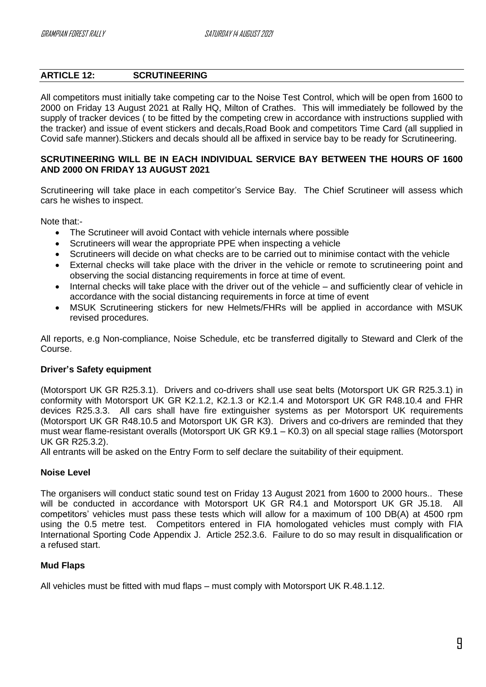# <span id="page-10-0"></span>**ARTICLE 12: SCRUTINEERING**

All competitors must initially take competing car to the Noise Test Control, which will be open from 1600 to 2000 on Friday 13 August 2021 at Rally HQ, Milton of Crathes. This will immediately be followed by the supply of tracker devices ( to be fitted by the competing crew in accordance with instructions supplied with the tracker) and issue of event stickers and decals,Road Book and competitors Time Card (all supplied in Covid safe manner).Stickers and decals should all be affixed in service bay to be ready for Scrutineering.

# **SCRUTINEERING WILL BE IN EACH INDIVIDUAL SERVICE BAY BETWEEN THE HOURS OF 1600 AND 2000 ON FRIDAY 13 AUGUST 2021**

Scrutineering will take place in each competitor's Service Bay. The Chief Scrutineer will assess which cars he wishes to inspect.

Note that:-

- The Scrutineer will avoid Contact with vehicle internals where possible
- Scrutineers will wear the appropriate PPE when inspecting a vehicle
- Scrutineers will decide on what checks are to be carried out to minimise contact with the vehicle
- External checks will take place with the driver in the vehicle or remote to scrutineering point and observing the social distancing requirements in force at time of event.
- Internal checks will take place with the driver out of the vehicle and sufficiently clear of vehicle in accordance with the social distancing requirements in force at time of event
- MSUK Scrutineering stickers for new Helmets/FHRs will be applied in accordance with MSUK revised procedures.

All reports, e.g Non-compliance, Noise Schedule, etc be transferred digitally to Steward and Clerk of the Course.

# **Driver's Safety equipment**

(Motorsport UK GR R25.3.1). Drivers and co-drivers shall use seat belts (Motorsport UK GR R25.3.1) in conformity with Motorsport UK GR K2.1.2, K2.1.3 or K2.1.4 and Motorsport UK GR R48.10.4 and FHR devices R25.3.3. All cars shall have fire extinguisher systems as per Motorsport UK requirements (Motorsport UK GR R48.10.5 and Motorsport UK GR K3). Drivers and co-drivers are reminded that they must wear flame-resistant overalls (Motorsport UK GR K9.1 – K0.3) on all special stage rallies (Motorsport UK GR R25.3.2).

All entrants will be asked on the Entry Form to self declare the suitability of their equipment.

# **Noise Level**

The organisers will conduct static sound test on Friday 13 August 2021 from 1600 to 2000 hours.. These will be conducted in accordance with Motorsport UK GR R4.1 and Motorsport UK GR J5.18. All competitors' vehicles must pass these tests which will allow for a maximum of 100 DB(A) at 4500 rpm using the 0.5 metre test. Competitors entered in FIA homologated vehicles must comply with FIA International Sporting Code Appendix J. Article 252.3.6. Failure to do so may result in disqualification or a refused start.

# **Mud Flaps**

All vehicles must be fitted with mud flaps – must comply with Motorsport UK R.48.1.12.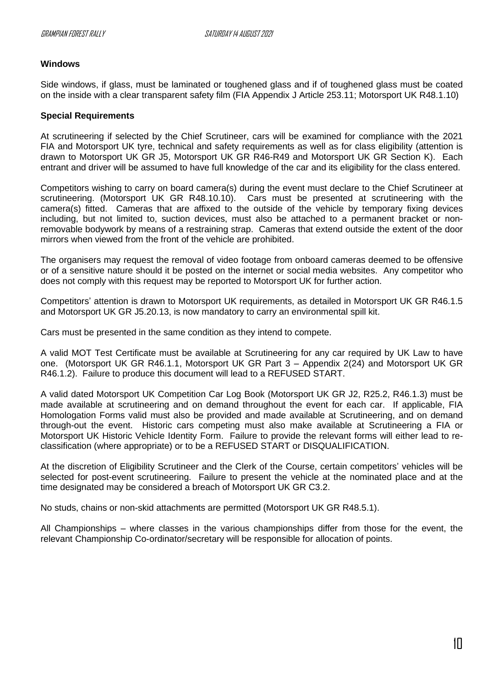## **Windows**

Side windows, if glass, must be laminated or toughened glass and if of toughened glass must be coated on the inside with a clear transparent safety film (FIA Appendix J Article 253.11; Motorsport UK R48.1.10)

#### **Special Requirements**

At scrutineering if selected by the Chief Scrutineer, cars will be examined for compliance with the 2021 FIA and Motorsport UK tyre, technical and safety requirements as well as for class eligibility (attention is drawn to Motorsport UK GR J5, Motorsport UK GR R46-R49 and Motorsport UK GR Section K). Each entrant and driver will be assumed to have full knowledge of the car and its eligibility for the class entered.

Competitors wishing to carry on board camera(s) during the event must declare to the Chief Scrutineer at scrutineering. (Motorsport UK GR R48.10.10). Cars must be presented at scrutineering with the camera(s) fitted. Cameras that are affixed to the outside of the vehicle by temporary fixing devices including, but not limited to, suction devices, must also be attached to a permanent bracket or nonremovable bodywork by means of a restraining strap. Cameras that extend outside the extent of the door mirrors when viewed from the front of the vehicle are prohibited.

The organisers may request the removal of video footage from onboard cameras deemed to be offensive or of a sensitive nature should it be posted on the internet or social media websites. Any competitor who does not comply with this request may be reported to Motorsport UK for further action.

Competitors' attention is drawn to Motorsport UK requirements, as detailed in Motorsport UK GR R46.1.5 and Motorsport UK GR J5.20.13, is now mandatory to carry an environmental spill kit.

Cars must be presented in the same condition as they intend to compete.

A valid MOT Test Certificate must be available at Scrutineering for any car required by UK Law to have one. (Motorsport UK GR R46.1.1, Motorsport UK GR Part 3 – Appendix 2(24) and Motorsport UK GR R46.1.2). Failure to produce this document will lead to a REFUSED START.

A valid dated Motorsport UK Competition Car Log Book (Motorsport UK GR J2, R25.2, R46.1.3) must be made available at scrutineering and on demand throughout the event for each car. If applicable, FIA Homologation Forms valid must also be provided and made available at Scrutineering, and on demand through-out the event. Historic cars competing must also make available at Scrutineering a FIA or Motorsport UK Historic Vehicle Identity Form. Failure to provide the relevant forms will either lead to reclassification (where appropriate) or to be a REFUSED START or DISQUALIFICATION.

At the discretion of Eligibility Scrutineer and the Clerk of the Course, certain competitors' vehicles will be selected for post-event scrutineering. Failure to present the vehicle at the nominated place and at the time designated may be considered a breach of Motorsport UK GR C3.2.

No studs, chains or non-skid attachments are permitted (Motorsport UK GR R48.5.1).

All Championships – where classes in the various championships differ from those for the event, the relevant Championship Co-ordinator/secretary will be responsible for allocation of points.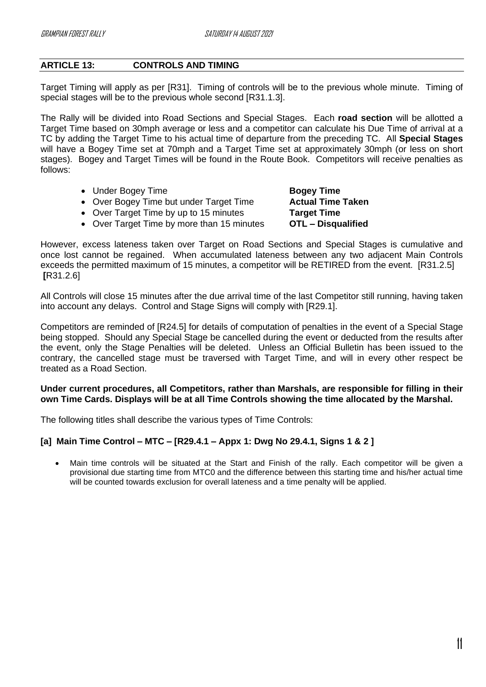# <span id="page-12-0"></span>**ARTICLE 13: CONTROLS AND TIMING**

Target Timing will apply as per [R31]. Timing of controls will be to the previous whole minute. Timing of special stages will be to the previous whole second [R31.1.3].

The Rally will be divided into Road Sections and Special Stages. Each **road section** will be allotted a Target Time based on 30mph average or less and a competitor can calculate his Due Time of arrival at a TC by adding the Target Time to his actual time of departure from the preceding TC. All **Special Stages** will have a Bogey Time set at 70mph and a Target Time set at approximately 30mph (or less on short stages). Bogey and Target Times will be found in the Route Book. Competitors will receive penalties as follows:

- Under Bogey Time **Bogey Time**
- Over Bogey Time but under Target Time **Actual Time Taken**
- Over Target Time by up to 15 minutes **Target Time**
- Over Target Time by more than 15 minutes **OTL – Disqualified**

However, excess lateness taken over Target on Road Sections and Special Stages is cumulative and once lost cannot be regained. When accumulated lateness between any two adjacent Main Controls exceeds the permitted maximum of 15 minutes, a competitor will be RETIRED from the event. [R31.2.5] **[**R31.2.6]

All Controls will close 15 minutes after the due arrival time of the last Competitor still running, having taken into account any delays. Control and Stage Signs will comply with [R29.1].

Competitors are reminded of [R24.5] for details of computation of penalties in the event of a Special Stage being stopped. Should any Special Stage be cancelled during the event or deducted from the results after the event, only the Stage Penalties will be deleted. Unless an Official Bulletin has been issued to the contrary, the cancelled stage must be traversed with Target Time, and will in every other respect be treated as a Road Section.

# **Under current procedures, all Competitors, rather than Marshals, are responsible for filling in their own Time Cards. Displays will be at all Time Controls showing the time allocated by the Marshal.**

The following titles shall describe the various types of Time Controls:

# **[a] Main Time Control – MTC – [R29.4.1 – Appx 1: Dwg No 29.4.1, Signs 1 & 2 ]**

• Main time controls will be situated at the Start and Finish of the rally. Each competitor will be given a provisional due starting time from MTC0 and the difference between this starting time and his/her actual time will be counted towards exclusion for overall lateness and a time penalty will be applied.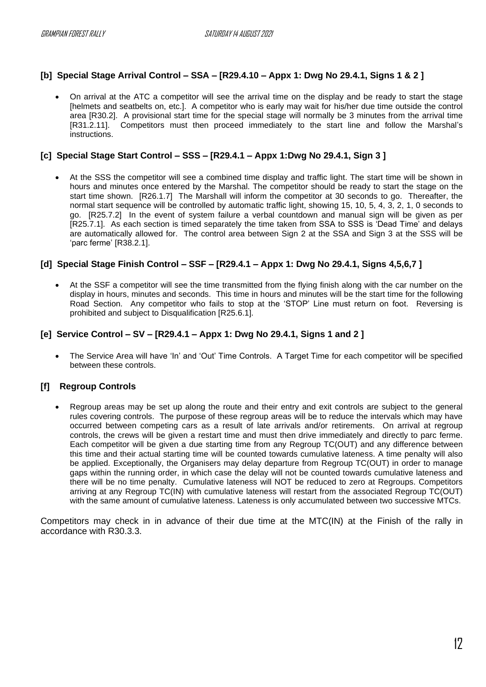# **[b] Special Stage Arrival Control – SSA – [R29.4.10 – Appx 1: Dwg No 29.4.1, Signs 1 & 2 ]**

• On arrival at the ATC a competitor will see the arrival time on the display and be ready to start the stage [helmets and seatbelts on, etc.]. A competitor who is early may wait for his/her due time outside the control area [R30.2]. A provisional start time for the special stage will normally be 3 minutes from the arrival time [R31.2.11]. Competitors must then proceed immediately to the start line and follow the Marshal's instructions.

## **[c] Special Stage Start Control – SSS – [R29.4.1 – Appx 1:Dwg No 29.4.1, Sign 3 ]**

• At the SSS the competitor will see a combined time display and traffic light. The start time will be shown in hours and minutes once entered by the Marshal. The competitor should be ready to start the stage on the start time shown. [R26.1.7] The Marshall will inform the competitor at 30 seconds to go. Thereafter, the normal start sequence will be controlled by automatic traffic light, showing 15, 10, 5, 4, 3, 2, 1, 0 seconds to go. [R25.7.2] In the event of system failure a verbal countdown and manual sign will be given as per [R25.7.1]. As each section is timed separately the time taken from SSA to SSS is 'Dead Time' and delays are automatically allowed for. The control area between Sign 2 at the SSA and Sign 3 at the SSS will be 'parc ferme' [R38.2.1].

## **[d] Special Stage Finish Control – SSF – [R29.4.1 – Appx 1: Dwg No 29.4.1, Signs 4,5,6,7 ]**

• At the SSF a competitor will see the time transmitted from the flying finish along with the car number on the display in hours, minutes and seconds. This time in hours and minutes will be the start time for the following Road Section. Any competitor who fails to stop at the 'STOP' Line must return on foot. Reversing is prohibited and subject to Disqualification [R25.6.1].

## **[e] Service Control – SV – [R29.4.1 – Appx 1: Dwg No 29.4.1, Signs 1 and 2 ]**

• The Service Area will have 'In' and 'Out' Time Controls. A Target Time for each competitor will be specified between these controls.

# **[f] Regroup Controls**

• Regroup areas may be set up along the route and their entry and exit controls are subject to the general rules covering controls. The purpose of these regroup areas will be to reduce the intervals which may have occurred between competing cars as a result of late arrivals and/or retirements. On arrival at regroup controls, the crews will be given a restart time and must then drive immediately and directly to parc ferme. Each competitor will be given a due starting time from any Regroup TC(OUT) and any difference between this time and their actual starting time will be counted towards cumulative lateness. A time penalty will also be applied. Exceptionally, the Organisers may delay departure from Regroup TC(OUT) in order to manage gaps within the running order, in which case the delay will not be counted towards cumulative lateness and there will be no time penalty. Cumulative lateness will NOT be reduced to zero at Regroups. Competitors arriving at any Regroup TC(IN) with cumulative lateness will restart from the associated Regroup TC(OUT) with the same amount of cumulative lateness. Lateness is only accumulated between two successive MTCs.

Competitors may check in in advance of their due time at the MTC(IN) at the Finish of the rally in accordance with R30.3.3.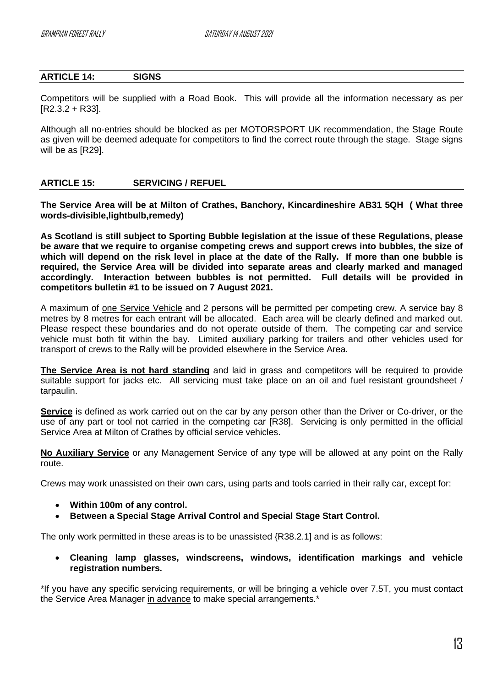# <span id="page-14-0"></span>**ARTICLE 14: SIGNS**

Competitors will be supplied with a Road Book. This will provide all the information necessary as per [R2.3.2 + R33].

Although all no-entries should be blocked as per MOTORSPORT UK recommendation, the Stage Route as given will be deemed adequate for competitors to find the correct route through the stage. Stage signs will be as IR291.

## <span id="page-14-1"></span>**ARTICLE 15: SERVICING / REFUEL**

**The Service Area will be at Milton of Crathes, Banchory, Kincardineshire AB31 5QH ( What three words-divisible,lightbulb,remedy)**

**As Scotland is still subject to Sporting Bubble legislation at the issue of these Regulations, please be aware that we require to organise competing crews and support crews into bubbles, the size of which will depend on the risk level in place at the date of the Rally. If more than one bubble is required, the Service Area will be divided into separate areas and clearly marked and managed accordingly. Interaction between bubbles is not permitted. Full details will be provided in competitors bulletin #1 to be issued on 7 August 2021.**

A maximum of one Service Vehicle and 2 persons will be permitted per competing crew. A service bay 8 metres by 8 metres for each entrant will be allocated. Each area will be clearly defined and marked out. Please respect these boundaries and do not operate outside of them. The competing car and service vehicle must both fit within the bay. Limited auxiliary parking for trailers and other vehicles used for transport of crews to the Rally will be provided elsewhere in the Service Area.

**The Service Area is not hard standing** and laid in grass and competitors will be required to provide suitable support for jacks etc. All servicing must take place on an oil and fuel resistant groundsheet / tarpaulin.

**Service** is defined as work carried out on the car by any person other than the Driver or Co-driver, or the use of any part or tool not carried in the competing car [R38]. Servicing is only permitted in the official Service Area at Milton of Crathes by official service vehicles.

**No Auxiliary Service** or any Management Service of any type will be allowed at any point on the Rally route.

Crews may work unassisted on their own cars, using parts and tools carried in their rally car, except for:

- **Within 100m of any control.**
- **Between a Special Stage Arrival Control and Special Stage Start Control.**

The only work permitted in these areas is to be unassisted {R38.2.1] and is as follows:

• **Cleaning lamp glasses, windscreens, windows, identification markings and vehicle registration numbers.** 

\*If you have any specific servicing requirements, or will be bringing a vehicle over 7.5T, you must contact the Service Area Manager in advance to make special arrangements.\*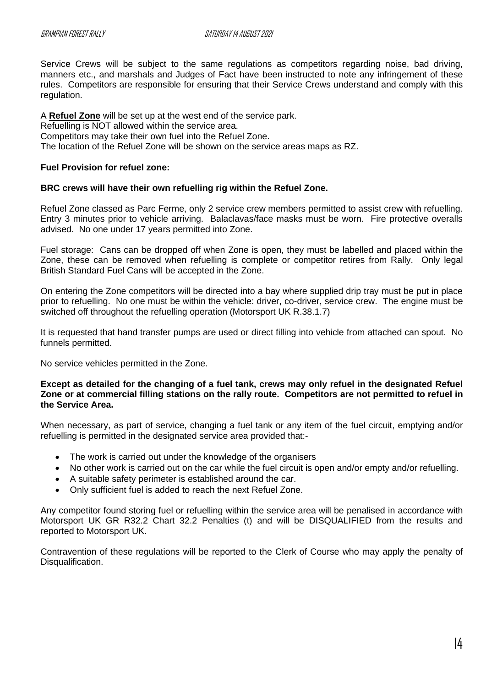Service Crews will be subject to the same regulations as competitors regarding noise, bad driving, manners etc., and marshals and Judges of Fact have been instructed to note any infringement of these rules. Competitors are responsible for ensuring that their Service Crews understand and comply with this regulation.

A **Refuel Zone** will be set up at the west end of the service park.

Refuelling is NOT allowed within the service area.

Competitors may take their own fuel into the Refuel Zone.

The location of the Refuel Zone will be shown on the service areas maps as RZ.

#### **Fuel Provision for refuel zone:**

## **BRC crews will have their own refuelling rig within the Refuel Zone.**

Refuel Zone classed as Parc Ferme, only 2 service crew members permitted to assist crew with refuelling. Entry 3 minutes prior to vehicle arriving. Balaclavas/face masks must be worn. Fire protective overalls advised. No one under 17 years permitted into Zone.

Fuel storage: Cans can be dropped off when Zone is open, they must be labelled and placed within the Zone, these can be removed when refuelling is complete or competitor retires from Rally. Only legal British Standard Fuel Cans will be accepted in the Zone.

On entering the Zone competitors will be directed into a bay where supplied drip tray must be put in place prior to refuelling. No one must be within the vehicle: driver, co-driver, service crew. The engine must be switched off throughout the refuelling operation (Motorsport UK R.38.1.7)

It is requested that hand transfer pumps are used or direct filling into vehicle from attached can spout. No funnels permitted.

No service vehicles permitted in the Zone.

**Except as detailed for the changing of a fuel tank, crews may only refuel in the designated Refuel Zone or at commercial filling stations on the rally route. Competitors are not permitted to refuel in the Service Area.** 

When necessary, as part of service, changing a fuel tank or any item of the fuel circuit, emptying and/or refuelling is permitted in the designated service area provided that:-

- The work is carried out under the knowledge of the organisers
- No other work is carried out on the car while the fuel circuit is open and/or empty and/or refuelling.
- A suitable safety perimeter is established around the car.
- Only sufficient fuel is added to reach the next Refuel Zone.

Any competitor found storing fuel or refuelling within the service area will be penalised in accordance with Motorsport UK GR R32.2 Chart 32.2 Penalties (t) and will be DISQUALIFIED from the results and reported to Motorsport UK.

Contravention of these regulations will be reported to the Clerk of Course who may apply the penalty of Disqualification.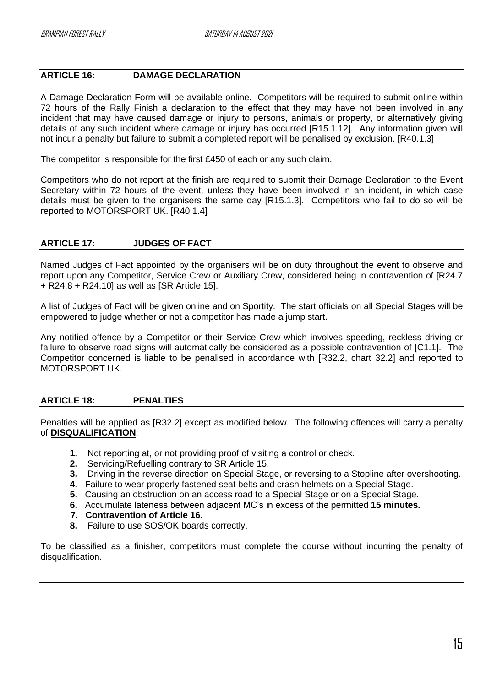# <span id="page-16-0"></span>**ARTICLE 16: DAMAGE DECLARATION**

A Damage Declaration Form will be available online. Competitors will be required to submit online within 72 hours of the Rally Finish a declaration to the effect that they may have not been involved in any incident that may have caused damage or injury to persons, animals or property, or alternatively giving details of any such incident where damage or injury has occurred [R15.1.12]. Any information given will not incur a penalty but failure to submit a completed report will be penalised by exclusion. [R40.1.3]

The competitor is responsible for the first £450 of each or any such claim.

Competitors who do not report at the finish are required to submit their Damage Declaration to the Event Secretary within 72 hours of the event, unless they have been involved in an incident, in which case details must be given to the organisers the same day [R15.1.3]. Competitors who fail to do so will be reported to MOTORSPORT UK. [R40.1.4]

## <span id="page-16-1"></span>**ARTICLE 17: JUDGES OF FACT**

Named Judges of Fact appointed by the organisers will be on duty throughout the event to observe and report upon any Competitor, Service Crew or Auxiliary Crew, considered being in contravention of [R24.7 + R24.8 + R24.10] as well as [SR Article 15].

A list of Judges of Fact will be given online and on Sportity. The start officials on all Special Stages will be empowered to judge whether or not a competitor has made a jump start.

Any notified offence by a Competitor or their Service Crew which involves speeding, reckless driving or failure to observe road signs will automatically be considered as a possible contravention of [C1.1]. The Competitor concerned is liable to be penalised in accordance with [R32.2, chart 32.2] and reported to MOTORSPORT UK.

#### <span id="page-16-2"></span>**ARTICLE 18: PENALTIES**

Penalties will be applied as [R32.2] except as modified below. The following offences will carry a penalty of **DISQUALIFICATION**:

- **1.** Not reporting at, or not providing proof of visiting a control or check.
- **2.** Servicing/Refuelling contrary to SR Article 15.
- **3.** Driving in the reverse direction on Special Stage, or reversing to a Stopline after overshooting.
- **4.** Failure to wear properly fastened seat belts and crash helmets on a Special Stage.
- **5.** Causing an obstruction on an access road to a Special Stage or on a Special Stage.
- **6.** Accumulate lateness between adjacent MC's in excess of the permitted **15 minutes.**
- **7. Contravention of Article 16.**
- **8.** Failure to use SOS/OK boards correctly.

To be classified as a finisher, competitors must complete the course without incurring the penalty of disqualification.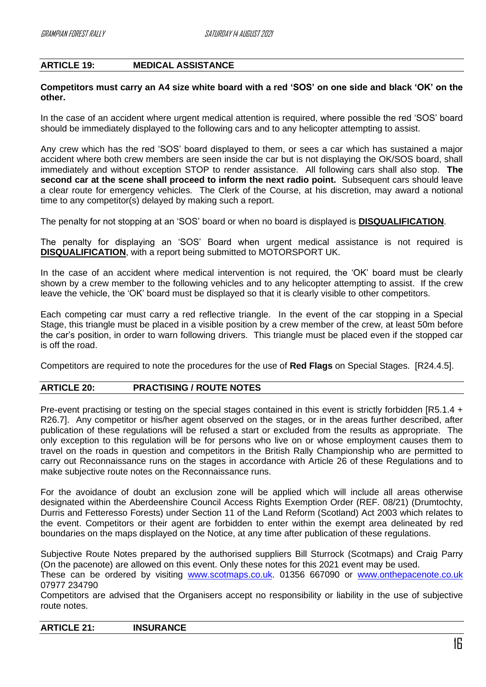# <span id="page-17-0"></span>**ARTICLE 19: MEDICAL ASSISTANCE**

#### **Competitors must carry an A4 size white board with a red 'SOS' on one side and black 'OK' on the other.**

In the case of an accident where urgent medical attention is required, where possible the red 'SOS' board should be immediately displayed to the following cars and to any helicopter attempting to assist.

Any crew which has the red 'SOS' board displayed to them, or sees a car which has sustained a major accident where both crew members are seen inside the car but is not displaying the OK/SOS board, shall immediately and without exception STOP to render assistance. All following cars shall also stop. **The second car at the scene shall proceed to inform the next radio point.** Subsequent cars should leave a clear route for emergency vehicles. The Clerk of the Course, at his discretion, may award a notional time to any competitor(s) delayed by making such a report.

The penalty for not stopping at an 'SOS' board or when no board is displayed is **DISQUALIFICATION**.

The penalty for displaying an 'SOS' Board when urgent medical assistance is not required is **DISQUALIFICATION**, with a report being submitted to MOTORSPORT UK.

In the case of an accident where medical intervention is not required, the 'OK' board must be clearly shown by a crew member to the following vehicles and to any helicopter attempting to assist. If the crew leave the vehicle, the 'OK' board must be displayed so that it is clearly visible to other competitors.

Each competing car must carry a red reflective triangle. In the event of the car stopping in a Special Stage, this triangle must be placed in a visible position by a crew member of the crew, at least 50m before the car's position, in order to warn following drivers. This triangle must be placed even if the stopped car is off the road.

Competitors are required to note the procedures for the use of **Red Flags** on Special Stages. [R24.4.5].

# <span id="page-17-1"></span>**ARTICLE 20: PRACTISING / ROUTE NOTES**

Pre-event practising or testing on the special stages contained in this event is strictly forbidden [R5.1.4 + R26.7]. Any competitor or his/her agent observed on the stages, or in the areas further described, after publication of these regulations will be refused a start or excluded from the results as appropriate. The only exception to this regulation will be for persons who live on or whose employment causes them to travel on the roads in question and competitors in the British Rally Championship who are permitted to carry out Reconnaissance runs on the stages in accordance with Article 26 of these Regulations and to make subjective route notes on the Reconnaissance runs.

For the avoidance of doubt an exclusion zone will be applied which will include all areas otherwise designated within the Aberdeenshire Council Access Rights Exemption Order (REF. 08/21) (Drumtochty, Durris and Fetteresso Forests) under Section 11 of the Land Reform (Scotland) Act 2003 which relates to the event. Competitors or their agent are forbidden to enter within the exempt area delineated by red boundaries on the maps displayed on the Notice, at any time after publication of these regulations.

Subjective Route Notes prepared by the authorised suppliers Bill Sturrock (Scotmaps) and Craig Parry (On the pacenote) are allowed on this event. Only these notes for this 2021 event may be used.

These can be ordered by visiting [www.scotmaps.co.uk.](http://www.scotmaps.co.uk/) 01356 667090 or [www.onthepacenote.co.uk](http://www.onthepacenote.co.uk/) 07977 234790

Competitors are advised that the Organisers accept no responsibility or liability in the use of subjective route notes.

<span id="page-17-2"></span>

| <b>ARTICLE 21:</b> | <b>INSURANCE</b> |  |
|--------------------|------------------|--|
|                    |                  |  |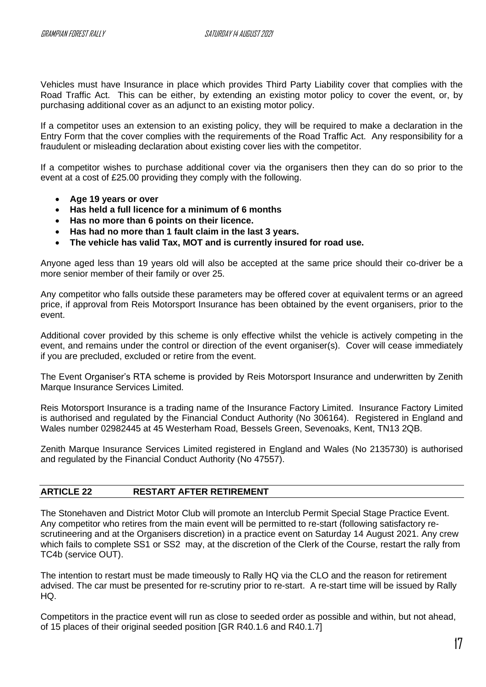Vehicles must have Insurance in place which provides Third Party Liability cover that complies with the Road Traffic Act. This can be either, by extending an existing motor policy to cover the event, or, by purchasing additional cover as an adjunct to an existing motor policy.

If a competitor uses an extension to an existing policy, they will be required to make a declaration in the Entry Form that the cover complies with the requirements of the Road Traffic Act. Any responsibility for a fraudulent or misleading declaration about existing cover lies with the competitor.

If a competitor wishes to purchase additional cover via the organisers then they can do so prior to the event at a cost of £25.00 providing they comply with the following.

- **Age 19 years or over**
- **Has held a full licence for a minimum of 6 months**
- **Has no more than 6 points on their licence.**
- **Has had no more than 1 fault claim in the last 3 years.**
- **The vehicle has valid Tax, MOT and is currently insured for road use.**

Anyone aged less than 19 years old will also be accepted at the same price should their co-driver be a more senior member of their family or over 25.

Any competitor who falls outside these parameters may be offered cover at equivalent terms or an agreed price, if approval from Reis Motorsport Insurance has been obtained by the event organisers, prior to the event.

Additional cover provided by this scheme is only effective whilst the vehicle is actively competing in the event, and remains under the control or direction of the event organiser(s). Cover will cease immediately if you are precluded, excluded or retire from the event.

The Event Organiser's RTA scheme is provided by Reis Motorsport Insurance and underwritten by Zenith Marque Insurance Services Limited.

Reis Motorsport Insurance is a trading name of the Insurance Factory Limited. Insurance Factory Limited is authorised and regulated by the Financial Conduct Authority (No 306164). Registered in England and Wales number 02982445 at 45 Westerham Road, Bessels Green, Sevenoaks, Kent, TN13 2QB.

Zenith Marque Insurance Services Limited registered in England and Wales (No 2135730) is authorised and regulated by the Financial Conduct Authority (No 47557).

# <span id="page-18-0"></span>**ARTICLE 22 RESTART AFTER RETIREMENT**

The Stonehaven and District Motor Club will promote an Interclub Permit Special Stage Practice Event. Any competitor who retires from the main event will be permitted to re-start (following satisfactory rescrutineering and at the Organisers discretion) in a practice event on Saturday 14 August 2021. Any crew which fails to complete SS1 or SS2 may, at the discretion of the Clerk of the Course, restart the rally from TC4b (service OUT).

The intention to restart must be made timeously to Rally HQ via the CLO and the reason for retirement advised. The car must be presented for re-scrutiny prior to re-start. A re-start time will be issued by Rally HQ.

Competitors in the practice event will run as close to seeded order as possible and within, but not ahead, of 15 places of their original seeded position [GR R40.1.6 and R40.1.7]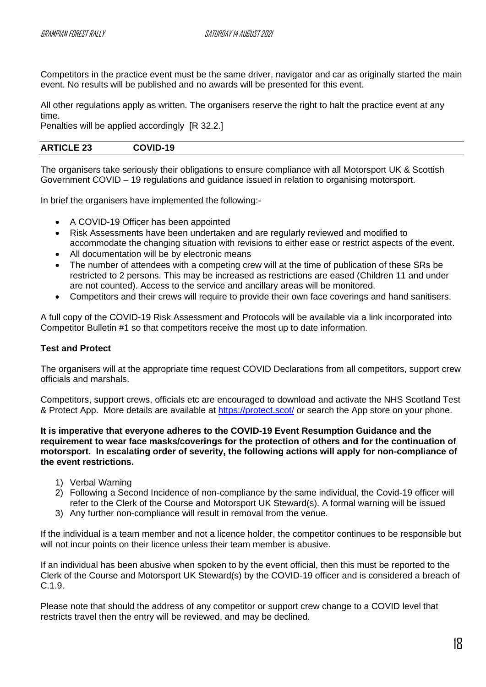Competitors in the practice event must be the same driver, navigator and car as originally started the main event. No results will be published and no awards will be presented for this event.

All other regulations apply as written. The organisers reserve the right to halt the practice event at any time.

Penalties will be applied accordingly [R 32.2.]

# <span id="page-19-0"></span>**ARTICLE 23 COVID-19**

The organisers take seriously their obligations to ensure compliance with all Motorsport UK & Scottish Government COVID – 19 regulations and guidance issued in relation to organising motorsport.

In brief the organisers have implemented the following:-

- A COVID-19 Officer has been appointed
- Risk Assessments have been undertaken and are regularly reviewed and modified to accommodate the changing situation with revisions to either ease or restrict aspects of the event.
- All documentation will be by electronic means
- The number of attendees with a competing crew will at the time of publication of these SRs be restricted to 2 persons. This may be increased as restrictions are eased (Children 11 and under are not counted). Access to the service and ancillary areas will be monitored.
- Competitors and their crews will require to provide their own face coverings and hand sanitisers.

A full copy of the COVID-19 Risk Assessment and Protocols will be available via a link incorporated into Competitor Bulletin #1 so that competitors receive the most up to date information.

# **Test and Protect**

The organisers will at the appropriate time request COVID Declarations from all competitors, support crew officials and marshals.

Competitors, support crews, officials etc are encouraged to download and activate the NHS Scotland Test & Protect App. More details are available at<https://protect.scot/> or search the App store on your phone.

**It is imperative that everyone adheres to the COVID-19 Event Resumption Guidance and the requirement to wear face masks/coverings for the protection of others and for the continuation of motorsport. In escalating order of severity, the following actions will apply for non-compliance of the event restrictions.**

- 1) Verbal Warning
- 2) Following a Second Incidence of non-compliance by the same individual, the Covid-19 officer will refer to the Clerk of the Course and Motorsport UK Steward(s). A formal warning will be issued
- 3) Any further non-compliance will result in removal from the venue.

If the individual is a team member and not a licence holder, the competitor continues to be responsible but will not incur points on their licence unless their team member is abusive.

If an individual has been abusive when spoken to by the event official, then this must be reported to the Clerk of the Course and Motorsport UK Steward(s) by the COVID-19 officer and is considered a breach of C.1.9.

Please note that should the address of any competitor or support crew change to a COVID level that restricts travel then the entry will be reviewed, and may be declined.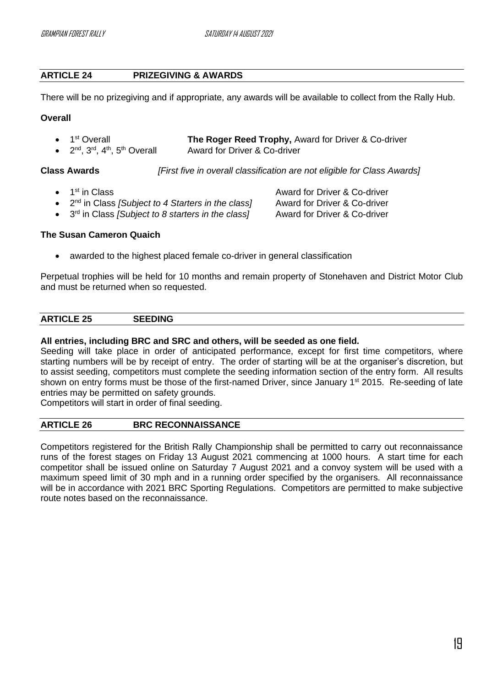# <span id="page-20-0"></span>**ARTICLE 24 PRIZEGIVING & AWARDS**

There will be no prizegiving and if appropriate, any awards will be available to collect from the Rally Hub.

## **Overall**

| $\bullet$ 1 <sup>st</sup> Overall       | The Roger Reed Trophy, Award for Driver & Co-driver |
|-----------------------------------------|-----------------------------------------------------|
| • $2nd$ , $3rd$ , $4th$ , $5th$ Overall | Award for Driver & Co-driver                        |

**Class Awards** *[First five in overall classification are not eligible for Class Awards]*

- 1<sup>st</sup> in Class
- 2<sup>nd</sup> in Class *[Subject to 4 Starters in the class]* Award for Driver & Co-driver
- 3 rd in Class *[Subject to 8 starters in the class]* Award for Driver & Co-driver

Award for Driver & Co-driver

# **The Susan Cameron Quaich**

awarded to the highest placed female co-driver in general classification

Perpetual trophies will be held for 10 months and remain property of Stonehaven and District Motor Club and must be returned when so requested.

#### <span id="page-20-1"></span>**ARTICLE 25 SEEDING**

## **All entries, including BRC and SRC and others, will be seeded as one field.**

Seeding will take place in order of anticipated performance, except for first time competitors, where starting numbers will be by receipt of entry. The order of starting will be at the organiser's discretion, but to assist seeding, competitors must complete the seeding information section of the entry form. All results shown on entry forms must be those of the first-named Driver, since January 1<sup>st</sup> 2015. Re-seeding of late entries may be permitted on safety grounds.

Competitors will start in order of final seeding.

# <span id="page-20-2"></span>**ARTICLE 26 BRC RECONNAISSANCE**

Competitors registered for the British Rally Championship shall be permitted to carry out reconnaissance runs of the forest stages on Friday 13 August 2021 commencing at 1000 hours. A start time for each competitor shall be issued online on Saturday 7 August 2021 and a convoy system will be used with a maximum speed limit of 30 mph and in a running order specified by the organisers. All reconnaissance will be in accordance with 2021 BRC Sporting Regulations. Competitors are permitted to make subjective route notes based on the reconnaissance.